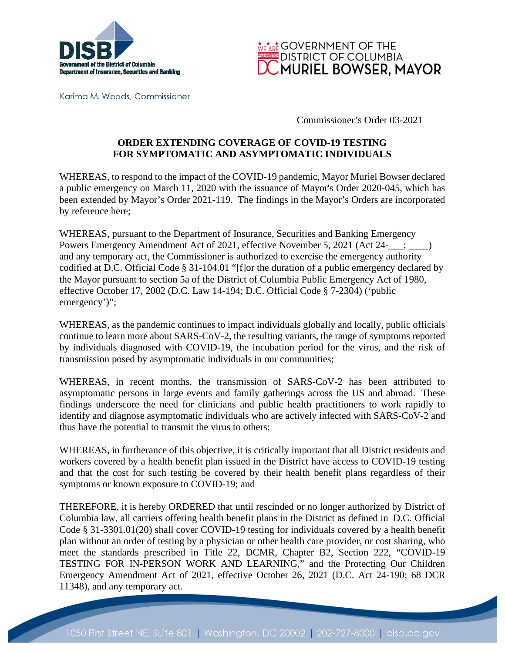



Karima M. Woods, Commissioner

Commissioner's Order 03-2021

## **ORDER EXTENDING COVERAGE OF COVID-19 TESTING FOR SYMPTOMATIC AND ASYMPTOMATIC INDIVIDUALS**

WHEREAS, to respond to the impact of the COVID-19 pandemic, Mayor Muriel Bowser declared a public emergency on March 11, 2020 with the issuance of Mayor's Order 2020-045, which has been extended by Mayor's Order 2021-119. The findings in the Mayor's Orders are incorporated by reference here;

WHEREAS, pursuant to the Department of Insurance, Securities and Banking Emergency Powers Emergency Amendment Act of 2021, effective November 5, 2021 (Act 24-  $\vdots$ ) and any temporary act, the Commissioner is authorized to exercise the emergency authority codified at D.C. Official Code § 31-104.01 "[f]or the duration of a public emergency declared by the Mayor pursuant to section 5a of the District of Columbia Public Emergency Act of 1980, effective October 17, 2002 (D.C. Law 14-194; D.C. Official Code § 7-2304) ('public emergency')";

WHEREAS, as the pandemic continues to impact individuals globally and locally, public officials continue to learn more about SARS-CoV-2, the resulting variants, the range of symptoms reported by individuals diagnosed with COVID-19, the incubation period for the virus, and the risk of transmission posed by asymptomatic individuals in our communities;

WHEREAS, in recent months, the transmission of SARS-CoV-2 has been attributed to asymptomatic persons in large events and family gatherings across the US and abroad. These findings underscore the need for clinicians and public health practitioners to work rapidly to identify and diagnose asymptomatic individuals who are actively infected with SARS-CoV-2 and thus have the potential to transmit the virus to others;

WHEREAS, in furtherance of this objective, it is critically important that all District residents and workers covered by a health benefit plan issued in the District have access to COVID-19 testing and that the cost for such testing be covered by their health benefit plans regardless of their symptoms or known exposure to COVID-19; and

THEREFORE, it is hereby ORDERED that until rescinded or no longer authorized by District of Columbia law, all carriers offering health benefit plans in the District as defined in D.C. Official Code § 31-3301.01(20) shall cover COVID-19 testing for individuals covered by a health benefit plan without an order of testing by a physician or other health care provider, or cost sharing, who meet the standards prescribed in Title 22, DCMR, Chapter B2, Section 222, "COVID-19 TESTING FOR IN-PERSON WORK AND LEARNING," and the Protecting Our Children Emergency Amendment Act of 2021, effective October 26, 2021 (D.C. Act 24-190; 68 DCR 11348), and any temporary act.